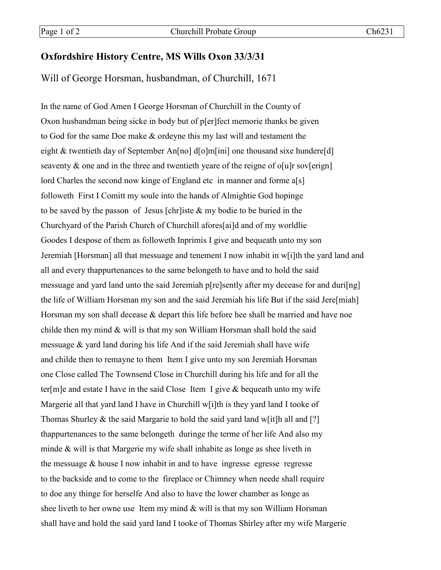## **Oxfordshire History Centre, MS Wills Oxon 33/3/31**

## Will of George Horsman, husbandman, of Churchill, 1671

In the name of God Amen I George Horsman of Churchill in the County of Oxon husbandman being sicke in body but of p[er]fect memorie thanks be given to God for the same Doe make & ordeyne this my last will and testament the eight & twentieth day of September An[no] d[o]m[ini] one thousand sixe hundere[d] seaventy  $\&$  one and in the three and twentieth yeare of the reigne of o[u]r sov[erign] lord Charles the second now kinge of England etc in manner and forme a[s] followeth First I Comitt my soule into the hands of Almightie God hopinge to be saved by the passon of Jesus [chr]iste & my bodie to be buried in the Churchyard of the Parish Church of Churchill afores[ai]d and of my worldlie Goodes I despose of them as followeth Inprimis I give and bequeath unto my son Jeremiah [Horsman] all that messuage and tenement I now inhabit in w[i]th the yard land and all and every thappurtenances to the same belongeth to have and to hold the said messuage and yard land unto the said Jeremiah p[re]sently after my decease for and duri[ng] the life of William Horsman my son and the said Jeremiah his life But if the said Jere[miah] Horsman my son shall decease & depart this life before hee shall be married and have noe childe then my mind & will is that my son William Horsman shall hold the said messuage & yard land during his life And if the said Jeremiah shall have wife and childe then to remayne to them Item I give unto my son Jeremiah Horsman one Close called The Townsend Close in Churchill during his life and for all the ter[m]e and estate I have in the said Close Item I give  $\&$  bequeath unto my wife Margerie all that yard land I have in Churchill w[i]th is they yard land I tooke of Thomas Shurley & the said Margarie to hold the said yard land w[it]h all and [?] thappurtenances to the same belongeth duringe the terme of her life And also my minde & will is that Margerie my wife shall inhabite as longe as shee liveth in the messuage & house I now inhabit in and to have ingresse egresse regresse to the backside and to come to the fireplace or Chimney when neede shall require to doe any thinge for herselfe And also to have the lower chamber as longe as shee liveth to her owne use Item my mind  $&$  will is that my son William Horsman shall have and hold the said yard land I tooke of Thomas Shirley after my wife Margerie